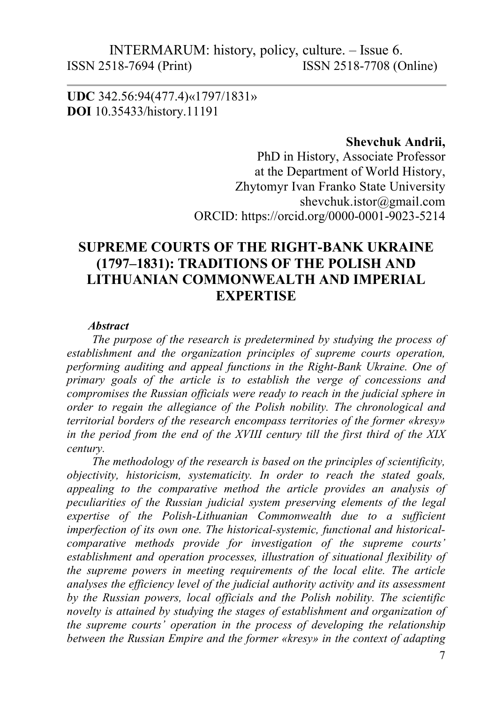UDC 342.56:94(477.4)«1797/1831» DOI 10.35433/history.11191

#### Shevchuk Andrii,

PhD in History, Associate Professor at the Department of World History, Zhytomyr Ivan Franko State University shevchuk.istor@gmail.com ORCID: https://orcid.org/0000-0001-9023-5214

# SUPREME COURTS OF THE RIGHT-BANK UKRAINE (1797–1831): TRADITIONS OF THE POLISH AND LITHUANIAN COMMONWEALTH AND IMPERIAL **EXPERTISE**

#### **Abstract**

The purpose of the research is predetermined by studying the process of establishment and the organization principles of supreme courts operation, performing auditing and appeal functions in the Right-Bank Ukraine. One of primary goals of the article is to establish the verge of concessions and compromises the Russian officials were ready to reach in the judicial sphere in order to regain the allegiance of the Polish nobility. The chronological and territorial borders of the research encompass territories of the former «kresy» in the period from the end of the ХVІІІ century till the first third of the ХІХ century.

The methodology of the research is based on the principles of scientificity, objectivity, historicism, systematicity. In order to reach the stated goals, appealing to the comparative method the article provides an analysis of peculiarities of the Russian judicial system preserving elements of the legal expertise of the Polish-Lithuanian Commonwealth due to a sufficient imperfection of its own one. The historical-systemic, functional and historicalcomparative methods provide for investigation of the supreme courts' establishment and operation processes, illustration of situational flexibility of the supreme powers in meeting requirements of the local elite. The article analyses the efficiency level of the judicial authority activity and its assessment by the Russian powers, local officials and the Polish nobility. The scientific novelty is attained by studying the stages of establishment and organization of the supreme courts' operation in the process of developing the relationship between the Russian Empire and the former «kresy» in the context of adapting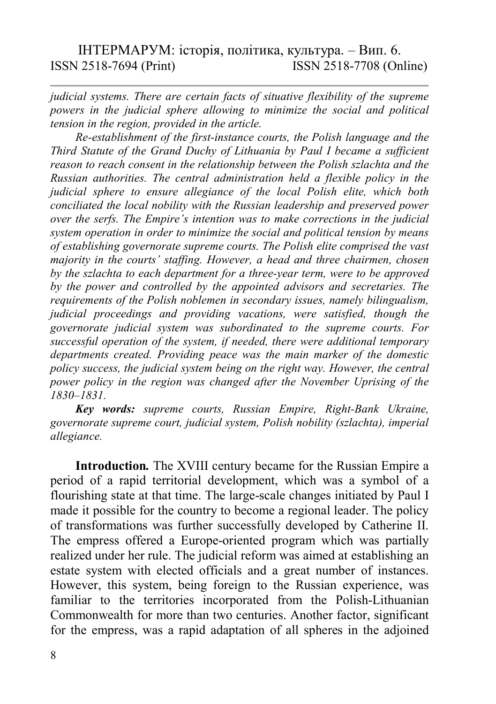judicial systems. There are certain facts of situative flexibility of the supreme powers in the judicial sphere allowing to minimize the social and political tension in the region, provided in the article.

Re-establishment of the first-instance courts, the Polish language and the Third Statute of the Grand Duchy of Lithuania by Paul I became a sufficient reason to reach consent in the relationship between the Polish szlachta and the Russian authorities. The central administration held a flexible policy in the judicial sphere to ensure allegiance of the local Polish elite, which both conciliated the local nobility with the Russian leadership and preserved power over the serfs. The Empire's intention was to make corrections in the judicial system operation in order to minimize the social and political tension by means of establishing governorate supreme courts. The Polish elite comprised the vast majority in the courts' staffing. However, a head and three chairmen, chosen by the szlachta to each department for a three-year term, were to be approved by the power and controlled by the appointed advisors and secretaries. The requirements of the Polish noblemen in secondary issues, namely bilingualism, judicial proceedings and providing vacations, were satisfied, though the governorate judicial system was subordinated to the supreme courts. For successful operation of the system, if needed, there were additional temporary departments created. Providing peace was the main marker of the domestic policy success, the judicial system being on the right way. However, the central power policy in the region was changed after the November Uprising of the 1830–1831.

Key words: supreme courts, Russian Empire, Right-Bank Ukraine, governorate supreme court, judicial system, Polish nobility (szlachta), imperial allegiance.

Introduction. The ХVІІІ century became for the Russian Empire a period of a rapid territorial development, which was a symbol of a flourishing state at that time. The large-scale changes initiated by Paul I made it possible for the country to become a regional leader. The policy of transformations was further successfully developed by Catherine II. The empress offered a Europe-oriented program which was partially realized under her rule. The judicial reform was aimed at establishing an estate system with elected officials and a great number of instances. However, this system, being foreign to the Russian experience, was familiar to the territories incorporated from the Polish-Lithuanian Commonwealth for more than two centuries. Another factor, significant for the empress, was a rapid adaptation of all spheres in the adjoined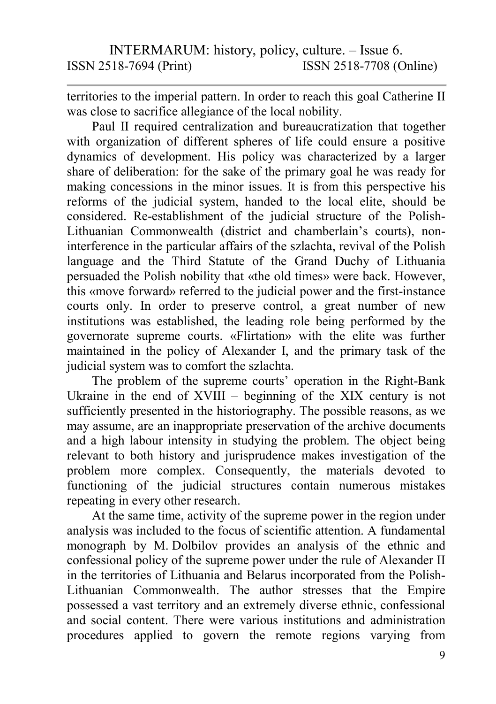territories to the imperial pattern. In order to reach this goal Catherine II was close to sacrifice allegiance of the local nobility.

Paul II required centralization and bureaucratization that together with organization of different spheres of life could ensure a positive dynamics of development. His policy was characterized by a larger share of deliberation: for the sake of the primary goal he was ready for making concessions in the minor issues. It is from this perspective his reforms of the judicial system, handed to the local elite, should be considered. Re-establishment of the judicial structure of the Polish-Lithuanian Commonwealth (district and chamberlain's courts), noninterference in the particular affairs of the szlachta, revival of the Polish language and the Third Statute of the Grand Duchy of Lithuania persuaded the Polish nobility that «the old times» were back. However, this «move forward» referred to the judicial power and the first-instance courts only. In order to preserve control, a great number of new institutions was established, the leading role being performed by the governorate supreme courts. «Flirtation» with the elite was further maintained in the policy of Alexander I, and the primary task of the judicial system was to comfort the szlachta.

The problem of the supreme courts' operation in the Right-Bank Ukraine in the end of XVIII – beginning of the XIX century is not sufficiently presented in the historiography. The possible reasons, as we may assume, are an inappropriate preservation of the archive documents and a high labour intensity in studying the problem. The object being relevant to both history and jurisprudence makes investigation of the problem more complex. Consequently, the materials devoted to functioning of the judicial structures contain numerous mistakes repeating in every other research.

At the same time, activity of the supreme power in the region under analysis was included to the focus of scientific attention. A fundamental monograph by M. Dolbilov provides an analysis of the ethnic and confessional policy of the supreme power under the rule of Alexander II in the territories of Lithuania and Belarus incorporated from the Polish-Lithuanian Commonwealth. The author stresses that the Empire possessed a vast territory and an extremely diverse ethnic, confessional and social content. There were various institutions and administration procedures applied to govern the remote regions varying from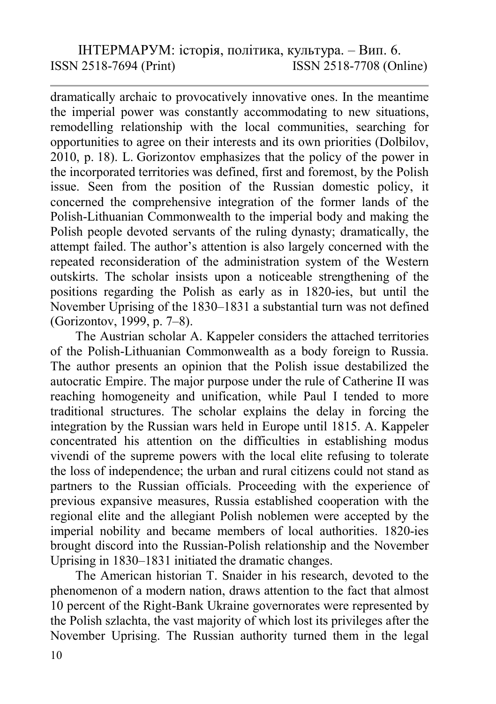dramatically archaic to provocatively innovative ones. In the meantime the imperial power was constantly accommodating to new situations, remodelling relationship with the local communities, searching for opportunities to agree on their interests and its own priorities (Dolbilov, 2010, p. 18). L. Gorizontov emphasizes that the policy of the power in the incorporated territories was defined, first and foremost, by the Polish issue. Seen from the position of the Russian domestic policy, it concerned the comprehensive integration of the former lands of the Polish-Lithuanian Commonwealth to the imperial body and making the Polish people devoted servants of the ruling dynasty; dramatically, the attempt failed. The author's attention is also largely concerned with the repeated reconsideration of the administration system of the Western outskirts. The scholar insists upon a noticeable strengthening of the positions regarding the Polish as early as in 1820-ies, but until the November Uprising of the 1830–1831 a substantial turn was not defined (Gorizontov, 1999, p. 7–8).

The Austrian scholar A. Kappeler considers the attached territories of the Polish-Lithuanian Commonwealth as a body foreign to Russia. The author presents an opinion that the Polish issue destabilized the autocratic Empire. The major purpose under the rule of Catherine II was reaching homogeneity and unification, while Paul I tended to more traditional structures. The scholar explains the delay in forcing the integration by the Russian wars held in Europe until 1815. A. Kappeler concentrated his attention on the difficulties in establishing modus vivendi of the supreme powers with the local elite refusing to tolerate the loss of independence; the urban and rural citizens could not stand as partners to the Russian officials. Proceeding with the experience of previous expansive measures, Russia established cooperation with the regional elite and the allegiant Polish noblemen were accepted by the imperial nobility and became members of local authorities. 1820-ies brought discord into the Russian-Polish relationship and the November Uprising in 1830–1831 initiated the dramatic changes.

The American historian T. Snaider in his research, devoted to the phenomenon of a modern nation, draws attention to the fact that almost 10 percent of the Right-Bank Ukraine governorates were represented by the Polish szlachta, the vast majority of which lost its privileges after the November Uprising. The Russian authority turned them in the legal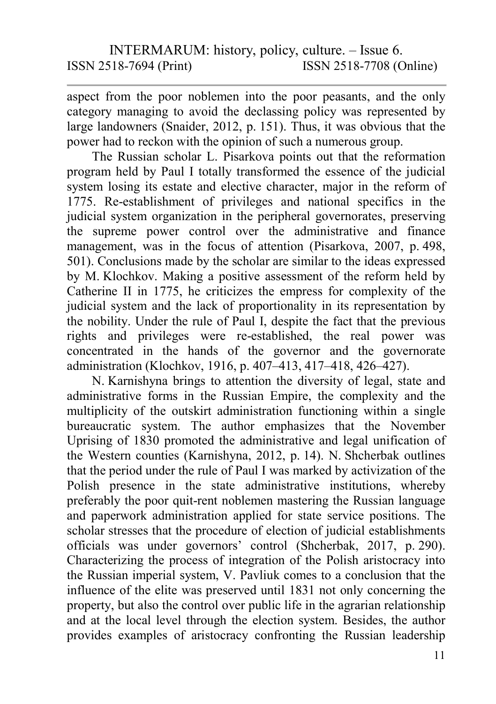aspect from the poor noblemen into the poor peasants, and the only category managing to avoid the declassing policy was represented by large landowners (Snaider, 2012, p. 151). Thus, it was obvious that the power had to reckon with the opinion of such a numerous group.

The Russian scholar L. Pisarkova points out that the reformation program held by Paul I totally transformed the essence of the judicial system losing its estate and elective character, major in the reform of 1775. Re-establishment of privileges and national specifics in the judicial system organization in the peripheral governorates, preserving the supreme power control over the administrative and finance management, was in the focus of attention (Pisarkova, 2007, p. 498, 501). Conclusions made by the scholar are similar to the ideas expressed by M. Klochkov. Making a positive assessment of the reform held by Catherine II in 1775, he criticizes the empress for complexity of the judicial system and the lack of proportionality in its representation by the nobility. Under the rule of Paul I, despite the fact that the previous rights and privileges were re-established, the real power was concentrated in the hands of the governor and the governorate administration (Klochkov, 1916, p. 407–413, 417–418, 426–427).

N. Karnishyna brings to attention the diversity of legal, state and administrative forms in the Russian Empire, the complexity and the multiplicity of the outskirt administration functioning within a single bureaucratic system. The author emphasizes that the November Uprising of 1830 promoted the administrative and legal unification of the Western counties (Karnishyna, 2012, p. 14). N. Shcherbak outlines that the period under the rule of Paul I was marked by activization of the Polish presence in the state administrative institutions, whereby preferably the poor quit-rent noblemen mastering the Russian language and paperwork administration applied for state service positions. The scholar stresses that the procedure of election of judicial establishments officials was under governors' control (Shcherbak, 2017, p. 290). Characterizing the process of integration of the Polish aristocracy into the Russian imperial system, V. Pavliuk comes to a conclusion that the influence of the elite was preserved until 1831 not only concerning the property, but also the control over public life in the agrarian relationship and at the local level through the election system. Besides, the author provides examples of aristocracy confronting the Russian leadership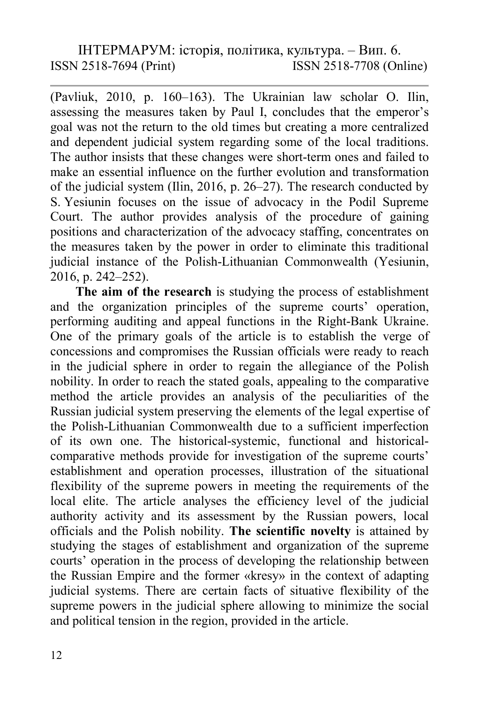(Pavliuk, 2010, p. 160–163). The Ukrainian law scholar O. Ilin, assessing the measures taken by Paul I, concludes that the emperor's goal was not the return to the old times but creating a more centralized and dependent judicial system regarding some of the local traditions. The author insists that these changes were short-term ones and failed to make an essential influence on the further evolution and transformation of the judicial system (Ilin, 2016, p. 26–27). The research conducted by S. Yesiunin focuses on the issue of advocacy in the Podil Supreme Court. The author provides analysis of the procedure of gaining positions and characterization of the advocacy staffing, concentrates on the measures taken by the power in order to eliminate this traditional judicial instance of the Polish-Lithuanian Commonwealth (Yesiunin, 2016, p. 242–252).

The aim of the research is studying the process of establishment and the organization principles of the supreme courts' operation, performing auditing and appeal functions in the Right-Bank Ukraine. One of the primary goals of the article is to establish the verge of concessions and compromises the Russian officials were ready to reach in the judicial sphere in order to regain the allegiance of the Polish nobility. In order to reach the stated goals, appealing to the comparative method the article provides an analysis of the peculiarities of the Russian judicial system preserving the elements of the legal expertise of the Polish-Lithuanian Commonwealth due to a sufficient imperfection of its own one. The historical-systemic, functional and historicalcomparative methods provide for investigation of the supreme courts' establishment and operation processes, illustration of the situational flexibility of the supreme powers in meeting the requirements of the local elite. The article analyses the efficiency level of the judicial authority activity and its assessment by the Russian powers, local officials and the Polish nobility. The scientific novelty is attained by studying the stages of establishment and organization of the supreme courts' operation in the process of developing the relationship between the Russian Empire and the former «kresy» in the context of adapting judicial systems. There are certain facts of situative flexibility of the supreme powers in the judicial sphere allowing to minimize the social and political tension in the region, provided in the article.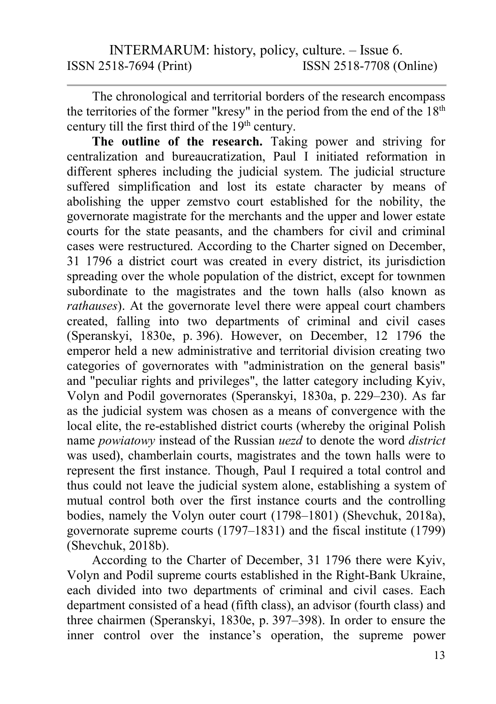The chronological and territorial borders of the research encompass the territories of the former "kresy" in the period from the end of the  $18<sup>th</sup>$ century till the first third of the  $19<sup>th</sup>$  century.

The outline of the research. Taking power and striving for centralization and bureaucratization, Paul I initiated reformation in different spheres including the judicial system. The judicial structure suffered simplification and lost its estate character by means of abolishing the upper zemstvo court established for the nobility, the governorate magistrate for the merchants and the upper and lower estate courts for the state peasants, and the chambers for civil and criminal cases were restructured. According to the Charter signed on December, 31 1796 a district court was created in every district, its jurisdiction spreading over the whole population of the district, except for townmen subordinate to the magistrates and the town halls (also known as rathauses). At the governorate level there were appeal court chambers created, falling into two departments of criminal and civil cases (Speranskyi, 1830e, p. 396). However, on December, 12 1796 the emperor held a new administrative and territorial division creating two categories of governorates with "administration on the general basis" and "peculiar rights and privileges", the latter category including Kyiv, Volyn and Podil governorates (Speranskyi, 1830a, p. 229–230). As far as the judicial system was chosen as a means of convergence with the local elite, the re-established district courts (whereby the original Polish name powiatowy instead of the Russian uezd to denote the word district was used), chamberlain courts, magistrates and the town halls were to represent the first instance. Though, Paul I required a total control and thus could not leave the judicial system alone, establishing a system of mutual control both over the first instance courts and the controlling bodies, namely the Volyn outer court (1798–1801) (Shevchuk, 2018a), governorate supreme courts (1797–1831) and the fiscal institute (1799) (Shevchuk, 2018b).

According to the Charter of December, 31 1796 there were Kyiv, Volyn and Podil supreme courts established in the Right-Bank Ukraine, each divided into two departments of criminal and civil cases. Each department consisted of a head (fifth class), an advisor (fourth class) and three chairmen (Speranskyi, 1830e, p. 397–398). In order to ensure the inner control over the instance's operation, the supreme power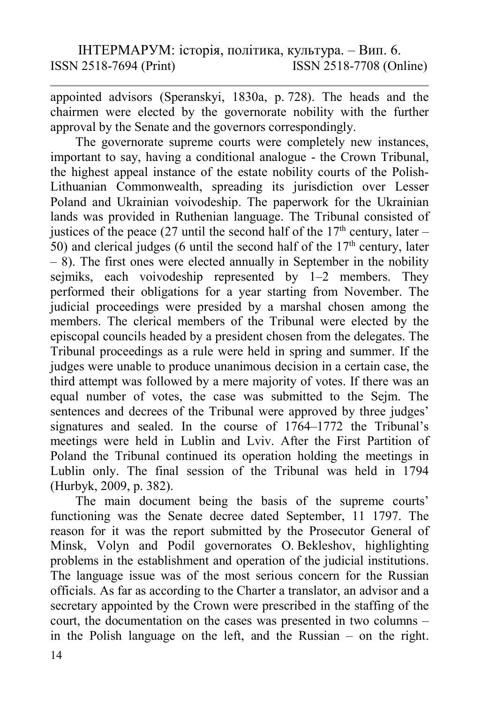appointed advisors (Speranskyi, 1830a, p. 728). The heads and the chairmen were elected by the governorate nobility with the further approval by the Senate and the governors correspondingly.

The governorate supreme courts were completely new instances, important to say, having a conditional analogue - the Crown Tribunal, the highest appeal instance of the estate nobility courts of the Polish-Lithuanian Commonwealth, spreading its jurisdiction over Lesser Poland and Ukrainian voivodeship. The paperwork for the Ukrainian lands was provided in Ruthenian language. The Tribunal consisted of justices of the peace (27 until the second half of the  $17<sup>th</sup>$  century, later – 50) and clerical judges (6 until the second half of the  $17<sup>th</sup>$  century, later  $- 8$ ). The first ones were elected annually in September in the nobility sejmiks, each voivodeship represented by 1–2 members. They performed their obligations for a year starting from November. The judicial proceedings were presided by a marshal chosen among the members. The clerical members of the Tribunal were elected by the episcopal councils headed by a president chosen from the delegates. The Tribunal proceedings as a rule were held in spring and summer. If the judges were unable to produce unanimous decision in a certain case, the third attempt was followed by a mere majority of votes. If there was an equal number of votes, the case was submitted to the Sejm. The sentences and decrees of the Tribunal were approved by three judges' signatures and sealed. In the course of 1764–1772 the Tribunal's meetings were held in Lublin and Lviv. After the First Partition of Poland the Tribunal continued its operation holding the meetings in Lublin only. The final session of the Tribunal was held in 1794 (Hurbyk, 2009, p. 382).

The main document being the basis of the supreme courts' functioning was the Senate decree dated September, 11 1797. The reason for it was the report submitted by the Prosecutor General of Minsk, Volyn and Podil governorates O. Bekleshov, highlighting problems in the establishment and operation of the judicial institutions. The language issue was of the most serious concern for the Russian officials. As far as according to the Charter a translator, an advisor and a secretary appointed by the Crown were prescribed in the staffing of the court, the documentation on the cases was presented in two columns – in the Polish language on the left, and the Russian – on the right.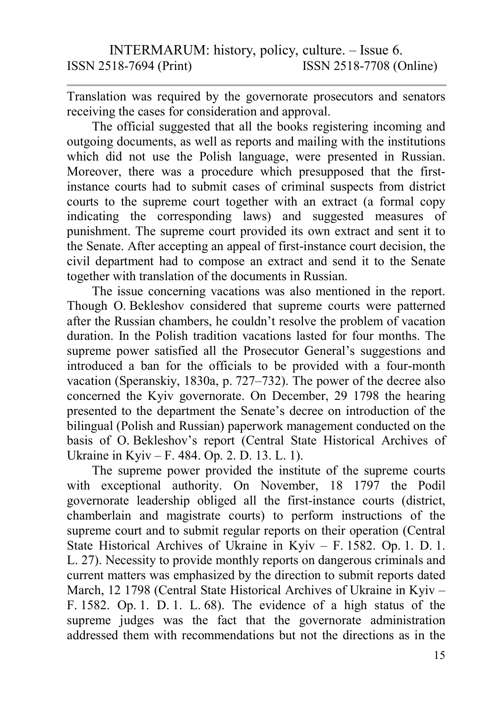Translation was required by the governorate prosecutors and senators receiving the cases for consideration and approval.

The official suggested that all the books registering incoming and outgoing documents, as well as reports and mailing with the institutions which did not use the Polish language, were presented in Russian. Moreover, there was a procedure which presupposed that the firstinstance courts had to submit cases of criminal suspects from district courts to the supreme court together with an extract (a formal copy indicating the corresponding laws) and suggested measures of punishment. The supreme court provided its own extract and sent it to the Senate. After accepting an appeal of first-instance court decision, the civil department had to compose an extract and send it to the Senate together with translation of the documents in Russian.

The issue concerning vacations was also mentioned in the report. Though O. Bekleshov considered that supreme courts were patterned after the Russian chambers, he couldn't resolve the problem of vacation duration. In the Polish tradition vacations lasted for four months. The supreme power satisfied all the Prosecutor General's suggestions and introduced a ban for the officials to be provided with a four-month vacation (Speranskiy, 1830a, p. 727–732). The power of the decree also concerned the Kyiv governorate. On December, 29 1798 the hearing presented to the department the Senate's decree on introduction of the bilingual (Polish and Russian) paperwork management conducted on the basis of O. Bekleshov's report (Central State Historical Archives of Ukraine in Kyiv – F. 484. Op. 2. D. 13. L. 1).

The supreme power provided the institute of the supreme courts with exceptional authority. On November, 18 1797 the Podil governorate leadership obliged all the first-instance courts (district, chamberlain and magistrate courts) to perform instructions of the supreme court and to submit regular reports on their operation (Central State Historical Archives of Ukraine in Kyiv – F. 1582. Op. 1. D. 1. L. 27). Necessity to provide monthly reports on dangerous criminals and current matters was emphasized by the direction to submit reports dated March, 12 1798 (Central State Historical Archives of Ukraine in Kyiv – F. 1582. Op. 1. D. 1. L. 68). The evidence of a high status of the supreme judges was the fact that the governorate administration addressed them with recommendations but not the directions as in the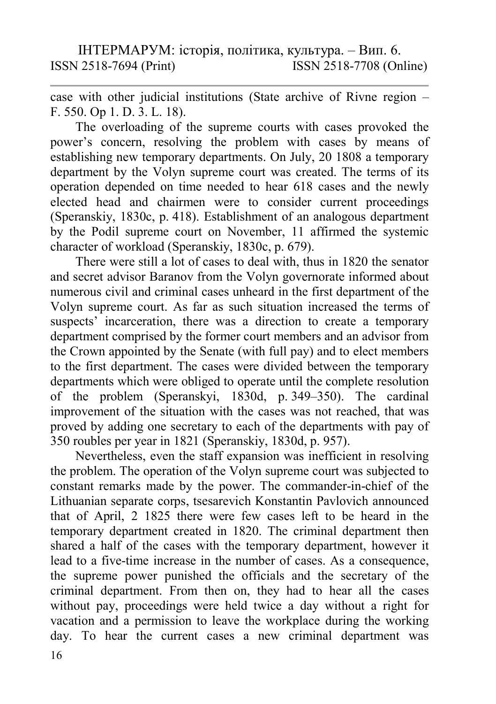case with other judicial institutions (State archive of Rivne region – F. 550. Op 1. D. 3. L. 18).

The overloading of the supreme courts with cases provoked the power's concern, resolving the problem with cases by means of establishing new temporary departments. On July, 20 1808 a temporary department by the Volyn supreme court was created. The terms of its operation depended on time needed to hear 618 cases and the newly elected head and chairmen were to consider current proceedings (Speranskiy, 1830c, p. 418). Establishment of an analogous department by the Podil supreme court on November, 11 affirmed the systemic character of workload (Speranskiy, 1830c, p. 679).

There were still a lot of cases to deal with, thus in 1820 the senator and secret advisor Baranov from the Volyn governorate informed about numerous civil and criminal cases unheard in the first department of the Volyn supreme court. As far as such situation increased the terms of suspects' incarceration, there was a direction to create a temporary department comprised by the former court members and an advisor from the Crown appointed by the Senate (with full pay) and to elect members to the first department. The cases were divided between the temporary departments which were obliged to operate until the complete resolution of the problem (Speranskyi, 1830d, p. 349–350). The cardinal improvement of the situation with the cases was not reached, that was proved by adding one secretary to each of the departments with pay of 350 roubles per year in 1821 (Speranskiy, 1830d, p. 957).

Nevertheless, even the staff expansion was inefficient in resolving the problem. The operation of the Volyn supreme court was subjected to constant remarks made by the power. The commander-in-chief of the Lithuanian separate corps, tsesarevich Konstantin Pavlovich announced that of April, 2 1825 there were few cases left to be heard in the temporary department created in 1820. The criminal department then shared a half of the cases with the temporary department, however it lead to a five-time increase in the number of cases. As a consequence, the supreme power punished the officials and the secretary of the criminal department. From then on, they had to hear all the cases without pay, proceedings were held twice a day without a right for vacation and a permission to leave the workplace during the working day. To hear the current cases a new criminal department was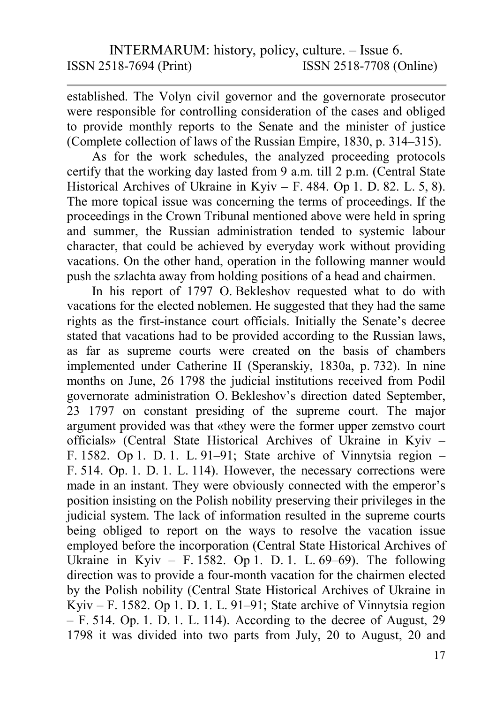established. The Volyn civil governor and the governorate prosecutor were responsible for controlling consideration of the cases and obliged to provide monthly reports to the Senate and the minister of justice (Complete collection of laws of the Russian Empire, 1830, p. 314–315).

As for the work schedules, the analyzed proceeding protocols certify that the working day lasted from 9 a.m. till 2 p.m. (Central State Historical Archives of Ukraine in Kyiv – F. 484. Op 1. D. 82. L. 5, 8). The more topical issue was concerning the terms of proceedings. If the proceedings in the Crown Tribunal mentioned above were held in spring and summer, the Russian administration tended to systemic labour character, that could be achieved by everyday work without providing vacations. On the other hand, operation in the following manner would push the szlachta away from holding positions of a head and chairmen.

In his report of 1797 O. Bekleshov requested what to do with vacations for the elected noblemen. He suggested that they had the same rights as the first-instance court officials. Initially the Senate's decree stated that vacations had to be provided according to the Russian laws, as far as supreme courts were created on the basis of chambers implemented under Catherine II (Speranskiy, 1830a, p. 732). In nine months on June, 26 1798 the judicial institutions received from Podil governorate administration O. Bekleshov's direction dated September, 23 1797 on constant presiding of the supreme court. The major argument provided was that «they were the former upper zemstvo court officials» (Central State Historical Archives of Ukraine in Kyiv – F. 1582. Op 1. D. 1. L. 91–91; State archive of Vinnytsia region – F. 514. Op. 1. D. 1. L. 114). However, the necessary corrections were made in an instant. They were obviously connected with the emperor's position insisting on the Polish nobility preserving their privileges in the judicial system. The lack of information resulted in the supreme courts being obliged to report on the ways to resolve the vacation issue employed before the incorporation (Central State Historical Archives of Ukraine in Kyiv – F. 1582. Op 1. D. 1. L.  $69-69$ ). The following direction was to provide a four-month vacation for the chairmen elected by the Polish nobility (Central State Historical Archives of Ukraine in Kyiv – F. 1582. Op 1. D. 1. L. 91–91; State archive of Vinnytsia region  $-$  F. 514. Op. 1. D. 1. L. 114). According to the decree of August, 29 1798 it was divided into two parts from July, 20 to August, 20 and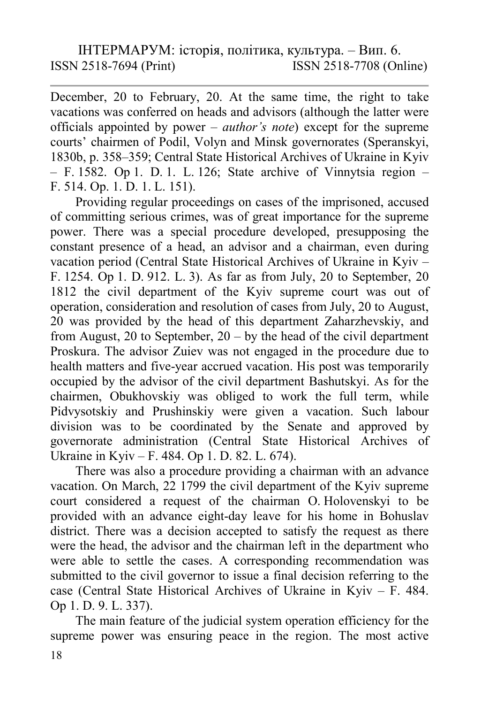December, 20 to February, 20. At the same time, the right to take vacations was conferred on heads and advisors (although the latter were officials appointed by power – *author's note*) except for the supreme courts' chairmen of Podil, Volyn and Minsk governorates (Speranskyi, 1830b, p. 358–359; Central State Historical Archives of Ukraine in Kyiv  $-$  F. 1582. Op 1. D. 1. L. 126; State archive of Vinnytsia region  $-$ F. 514. Op. 1. D. 1. L. 151).

Providing regular proceedings on cases of the imprisoned, accused of committing serious crimes, was of great importance for the supreme power. There was a special procedure developed, presupposing the constant presence of a head, an advisor and a chairman, even during vacation period (Central State Historical Archives of Ukraine in Kyiv – F. 1254. Op 1. D. 912. L. 3). As far as from July, 20 to September, 20 1812 the civil department of the Kyiv supreme court was out of operation, consideration and resolution of cases from July, 20 to August, 20 was provided by the head of this department Zaharzhevskiy, and from August, 20 to September,  $20 - by$  the head of the civil department Proskura. The advisor Zuiev was not engaged in the procedure due to health matters and five-year accrued vacation. His post was temporarily occupied by the advisor of the civil department Bashutskyi. As for the chairmen, Obukhovskiy was obliged to work the full term, while Pidvysotskiy and Prushinskiy were given a vacation. Such labour division was to be coordinated by the Senate and approved by governorate administration (Central State Historical Archives of Ukraine in Kyiv – F. 484. Op 1. D. 82. L. 674).

There was also a procedure providing a chairman with an advance vacation. On March, 22 1799 the civil department of the Kyiv supreme court considered a request of the chairman O. Holovenskyi to be provided with an advance eight-day leave for his home in Bohuslav district. There was a decision accepted to satisfy the request as there were the head, the advisor and the chairman left in the department who were able to settle the cases. A corresponding recommendation was submitted to the civil governor to issue a final decision referring to the case (Central State Historical Archives of Ukraine in Kyiv – F. 484. Op 1. D. 9. L. 337).

The main feature of the judicial system operation efficiency for the supreme power was ensuring peace in the region. The most active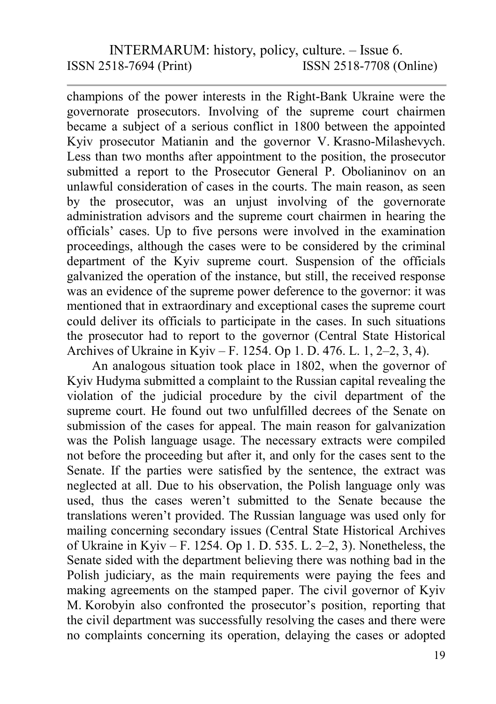champions of the power interests in the Right-Bank Ukraine were the governorate prosecutors. Involving of the supreme court chairmen became a subject of a serious conflict in 1800 between the appointed Kyiv prosecutor Matianin and the governor V. Krasno-Milashevych. Less than two months after appointment to the position, the prosecutor submitted a report to the Prosecutor General P. Obolianinov on an unlawful consideration of cases in the courts. The main reason, as seen by the prosecutor, was an unjust involving of the governorate administration advisors and the supreme court chairmen in hearing the officials' cases. Up to five persons were involved in the examination proceedings, although the cases were to be considered by the criminal department of the Kyiv supreme court. Suspension of the officials galvanized the operation of the instance, but still, the received response was an evidence of the supreme power deference to the governor: it was mentioned that in extraordinary and exceptional cases the supreme court could deliver its officials to participate in the cases. In such situations the prosecutor had to report to the governor (Central State Historical Archives of Ukraine in Kyiv – F. 1254. Op 1. D. 476. L. 1, 2–2, 3, 4).

An analogous situation took place in 1802, when the governor of Kyiv Hudyma submitted a complaint to the Russian capital revealing the violation of the judicial procedure by the civil department of the supreme court. He found out two unfulfilled decrees of the Senate on submission of the cases for appeal. The main reason for galvanization was the Polish language usage. The necessary extracts were compiled not before the proceeding but after it, and only for the cases sent to the Senate. If the parties were satisfied by the sentence, the extract was neglected at all. Due to his observation, the Polish language only was used, thus the cases weren't submitted to the Senate because the translations weren't provided. The Russian language was used only for mailing concerning secondary issues (Central State Historical Archives of Ukraine in Kyiv – F. 1254. Op 1. D. 535. L. 2–2, 3). Nonetheless, the Senate sided with the department believing there was nothing bad in the Polish judiciary, as the main requirements were paying the fees and making agreements on the stamped paper. The civil governor of Kyiv M. Korobyin also confronted the prosecutor's position, reporting that the civil department was successfully resolving the cases and there were no complaints concerning its operation, delaying the cases or adopted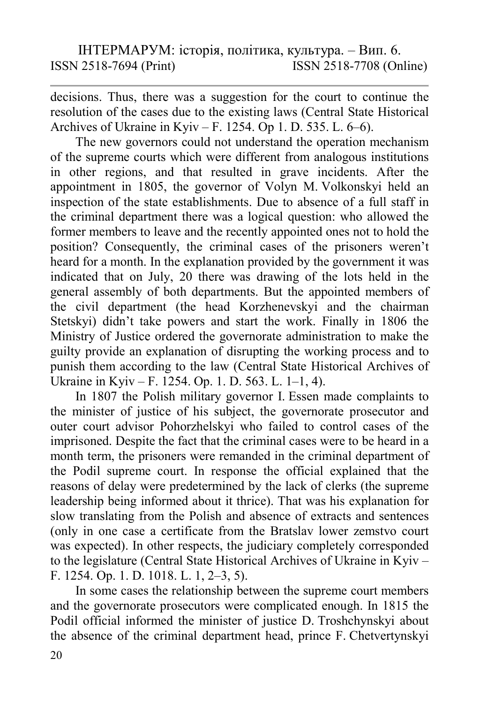decisions. Thus, there was a suggestion for the court to continue the resolution of the cases due to the existing laws (Central State Historical Archives of Ukraine in Kyiv – F. 1254. Op 1. D. 535. L. 6–6).

The new governors could not understand the operation mechanism of the supreme courts which were different from analogous institutions in other regions, and that resulted in grave incidents. After the appointment in 1805, the governor of Volyn M. Volkonskyi held an inspection of the state establishments. Due to absence of a full staff in the criminal department there was a logical question: who allowed the former members to leave and the recently appointed ones not to hold the position? Consequently, the criminal cases of the prisoners weren't heard for a month. In the explanation provided by the government it was indicated that on July, 20 there was drawing of the lots held in the general assembly of both departments. But the appointed members of the civil department (the head Korzhenevskyi and the chairman Stetskyi) didn't take powers and start the work. Finally in 1806 the Ministry of Justice ordered the governorate administration to make the guilty provide an explanation of disrupting the working process and to punish them according to the law (Central State Historical Archives of Ukraine in Kyiv – F. 1254. Op. 1. D. 563. L. 1–1, 4).

In 1807 the Polish military governor I. Essen made complaints to the minister of justice of his subject, the governorate prosecutor and outer court advisor Pohorzhelskyi who failed to control cases of the imprisoned. Despite the fact that the criminal cases were to be heard in a month term, the prisoners were remanded in the criminal department of the Podil supreme court. In response the official explained that the reasons of delay were predetermined by the lack of clerks (the supreme leadership being informed about it thrice). That was his explanation for slow translating from the Polish and absence of extracts and sentences (only in one case a certificate from the Bratslav lower zemstvo court was expected). In other respects, the judiciary completely corresponded to the legislature (Central State Historical Archives of Ukraine in Kyiv – F. 1254. Op. 1. D. 1018. L. 1, 2–3, 5).

In some cases the relationship between the supreme court members and the governorate prosecutors were complicated enough. In 1815 the Podil official informed the minister of justice D. Troshchynskyi about the absence of the criminal department head, prince F. Chetvertynskyi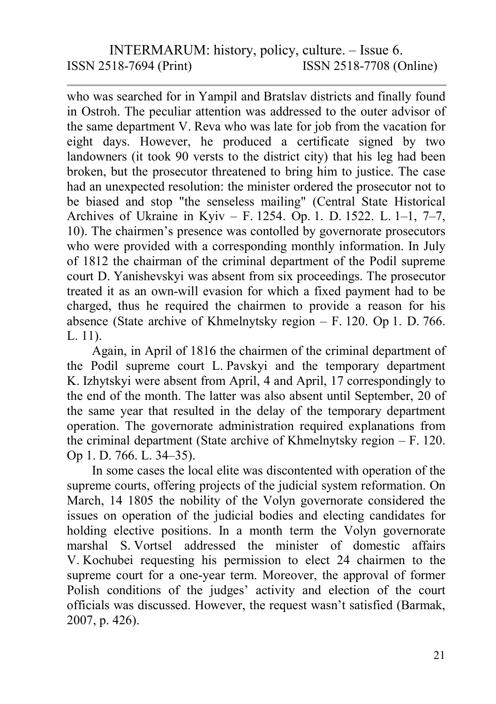who was searched for in Yampil and Bratslav districts and finally found in Ostroh. The peculiar attention was addressed to the outer advisor of the same department V. Reva who was late for job from the vacation for eight days. However, he produced a certificate signed by two landowners (it took 90 versts to the district city) that his leg had been broken, but the prosecutor threatened to bring him to justice. The case had an unexpected resolution: the minister ordered the prosecutor not to be biased and stop "the senseless mailing" (Central State Historical Archives of Ukraine in Kyiv – F. 1254. Op. 1. D. 1522. L. 1–1, 7–7, 10). The chairmen's presence was contolled by governorate prosecutors who were provided with a corresponding monthly information. In July of 1812 the chairman of the criminal department of the Podil supreme court D. Yanishevskyi was absent from six proceedings. The prosecutor treated it as an own-will evasion for which a fixed payment had to be charged, thus he required the chairmen to provide a reason for his absence (State archive of Khmelnytsky region – F. 120. Op 1. D. 766. L. 11).

Again, in April of 1816 the chairmen of the criminal department of the Podil supreme court L. Pavskyi and the temporary department K. Izhytskyi were absent from April, 4 and April, 17 correspondingly to the end of the month. The latter was also absent until September, 20 of the same year that resulted in the delay of the temporary department operation. The governorate administration required explanations from the criminal department (State archive of Khmelnytsky region – F. 120. Op 1. D. 766. L. 34–35).

In some cases the local elite was discontented with operation of the supreme courts, offering projects of the judicial system reformation. On March, 14 1805 the nobility of the Volyn governorate considered the issues on operation of the judicial bodies and electing candidates for holding elective positions. In a month term the Volyn governorate marshal S. Vortsel addressed the minister of domestic affairs V. Kochubei requesting his permission to elect 24 chairmen to the supreme court for a one-year term. Moreover, the approval of former Polish conditions of the judges' activity and election of the court officials was discussed. However, the request wasn't satisfied (Barmak, 2007, p. 426).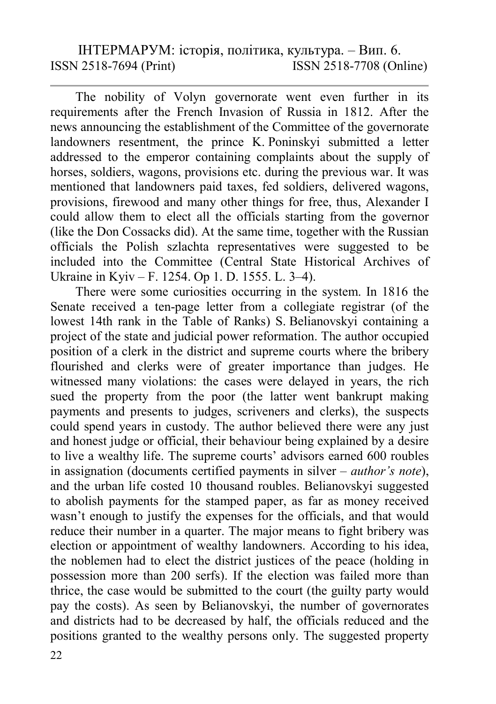The nobility of Volyn governorate went even further in its requirements after the French Invasion of Russia in 1812. After the news announcing the establishment of the Committee of the governorate landowners resentment, the prince K. Poninskyi submitted a letter addressed to the emperor containing complaints about the supply of horses, soldiers, wagons, provisions etc. during the previous war. It was mentioned that landowners paid taxes, fed soldiers, delivered wagons, provisions, firewood and many other things for free, thus, Alexander I could allow them to elect all the officials starting from the governor (like the Don Сossacks did). At the same time, together with the Russian officials the Polish szlachta representatives were suggested to be included into the Committee (Central State Historical Archives of Ukraine in Kyiv – F. 1254. Op 1. D. 1555. L. 3–4).

There were some curiosities occurring in the system. In 1816 the Senate received a ten-page letter from a collegiate registrar (of the lowest 14th rank in the Table of Ranks) S. Belianovskyi containing a project of the state and judicial power reformation. The author occupied position of a clerk in the district and supreme courts where the bribery flourished and clerks were of greater importance than judges. He witnessed many violations: the cases were delayed in years, the rich sued the property from the poor (the latter went bankrupt making payments and presents to judges, scriveners and clerks), the suspects could spend years in custody. The author believed there were any just and honest judge or official, their behaviour being explained by a desire to live a wealthy life. The supreme courts' advisors earned 600 roubles in assignation (documents certified payments in silver – author's note), and the urban life costed 10 thousand roubles. Belianovskyi suggested to abolish payments for the stamped paper, as far as money received wasn't enough to justify the expenses for the officials, and that would reduce their number in a quarter. The major means to fight bribery was election or appointment of wealthy landowners. According to his idea, the noblemen had to elect the district justices of the peace (holding in possession more than 200 serfs). If the election was failed more than thrice, the case would be submitted to the court (the guilty party would pay the costs). As seen by Belianovskyi, the number of governorates and districts had to be decreased by half, the officials reduced and the positions granted to the wealthy persons only. The suggested property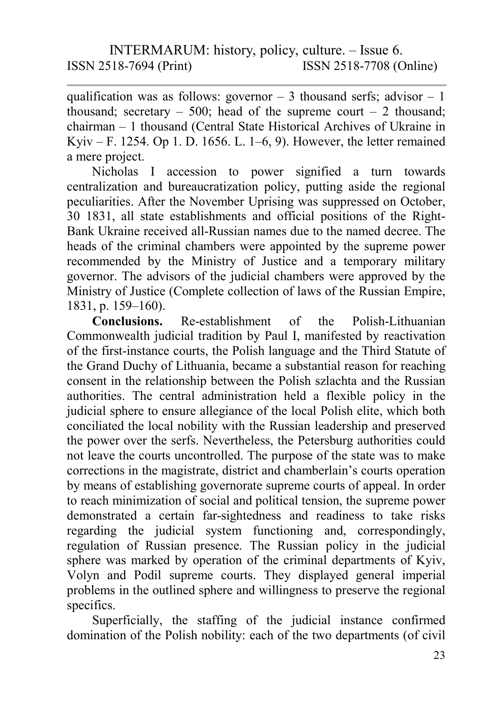qualification was as follows: governor  $-3$  thousand serfs; advisor  $-1$ thousand; secretary – 500; head of the supreme court – 2 thousand; chairman – 1 thousand (Central State Historical Archives of Ukraine in Kyiv – F. 1254. Op 1. D. 1656. L. 1–6, 9). However, the letter remained a mere project.

Nicholas I accession to power signified a turn towards centralization and bureaucratization policy, putting aside the regional peculiarities. After the November Uprising was suppressed on October, 30 1831, all state establishments and official positions of the Right-Bank Ukraine received all-Russian names due to the named decree. The heads of the criminal chambers were appointed by the supreme power recommended by the Ministry of Justice and a temporary military governor. The advisors of the judicial chambers were approved by the Ministry of Justice (Complete collection of laws of the Russian Empire, 1831, p. 159–160).

Conclusions. Re-establishment of the Polish-Lithuanian Commonwealth judicial tradition by Paul I, manifested by reactivation of the first-instance courts, the Polish language and the Third Statute of the Grand Duchy of Lithuania, became a substantial reason for reaching consent in the relationship between the Polish szlachta and the Russian authorities. The central administration held a flexible policy in the judicial sphere to ensure allegiance of the local Polish elite, which both conciliated the local nobility with the Russian leadership and preserved the power over the serfs. Nevertheless, the Petersburg authorities could not leave the courts uncontrolled. The purpose of the state was to make corrections in the magistrate, district and chamberlain's courts operation by means of establishing governorate supreme courts of appeal. In order to reach minimization of social and political tension, the supreme power demonstrated a certain far-sightedness and readiness to take risks regarding the judicial system functioning and, correspondingly, regulation of Russian presence. The Russian policy in the judicial sphere was marked by operation of the criminal departments of Kyiv, Volyn and Podil supreme courts. They displayed general imperial problems in the outlined sphere and willingness to preserve the regional specifics.

Superficially, the staffing of the judicial instance confirmed domination of the Polish nobility: each of the two departments (of civil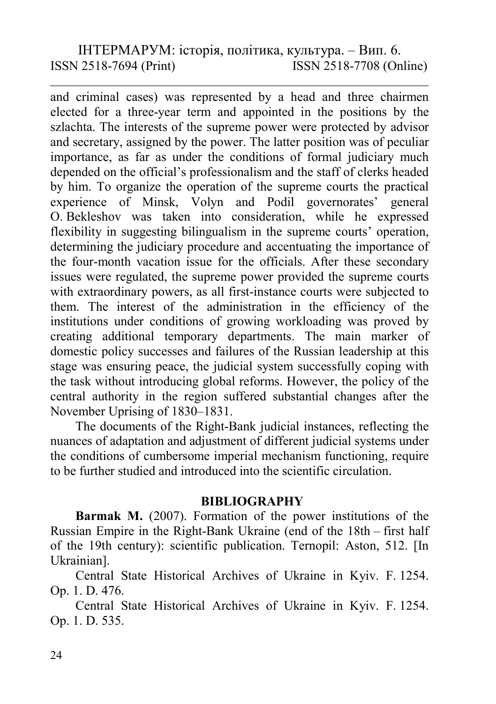and criminal cases) was represented by a head and three chairmen elected for a three-year term and appointed in the positions by the szlachta. The interests of the supreme power were protected by advisor and secretary, assigned by the power. The latter position was of peculiar importance, as far as under the conditions of formal judiciary much depended on the official's professionalism and the staff of clerks headed by him. To organize the operation of the supreme courts the practical experience of Minsk, Volyn and Podil governorates' general O. Bekleshov was taken into consideration, while he expressed flexibility in suggesting bilingualism in the supreme courts' operation, determining the judiciary procedure and accentuating the importance of the four-month vacation issue for the officials. After these secondary issues were regulated, the supreme power provided the supreme courts with extraordinary powers, as all first-instance courts were subjected to them. The interest of the administration in the efficiency of the institutions under conditions of growing workloading was proved by creating additional temporary departments. The main marker of domestic policy successes and failures of the Russian leadership at this stage was ensuring peace, the judicial system successfully coping with the task without introducing global reforms. However, the policy of the central authority in the region suffered substantial changes after the November Uprising of 1830–1831.

The documents of the Right-Bank judicial instances, reflecting the nuances of adaptation and adjustment of different judicial systems under the conditions of cumbersome imperial mechanism functioning, require to be further studied and introduced into the scientific circulation.

#### **BIBLIOGRAPHY**

Barmak M. (2007). Formation of the power institutions of the Russian Empire in the Right-Bank Ukraine (end of the 18th – first half of the 19th century): scientific publication. Ternopil: Aston, 512. [In Ukrainian].

Central State Historical Archives of Ukraine in Kyiv. F. 1254. Op. 1. D. 476.

Central State Historical Archives of Ukraine in Kyiv. F. 1254. Op. 1. D. 535.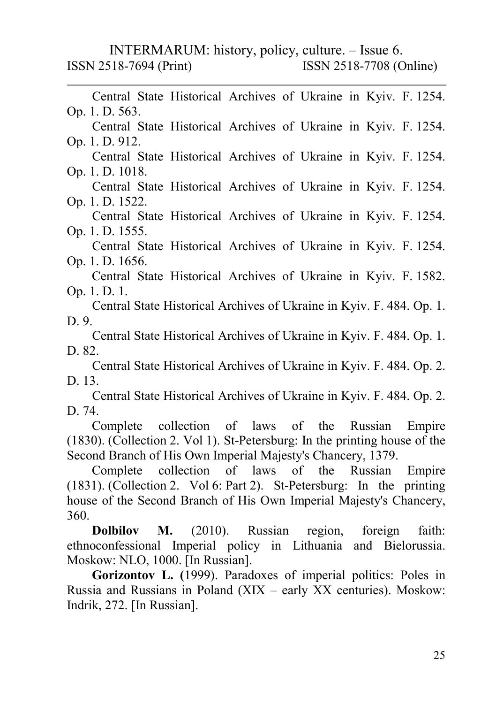Central State Historical Archives of Ukraine in Kyiv. F. 1254. Op. 1. D. 563. Central State Historical Archives of Ukraine in Kyiv. F. 1254. Op. 1. D. 912. Central State Historical Archives of Ukraine in Kyiv. F. 1254. Op. 1. D. 1018. Central State Historical Archives of Ukraine in Kyiv. F. 1254. Op. 1. D. 1522. Central State Historical Archives of Ukraine in Kyiv. F. 1254. Op. 1. D. 1555. Central State Historical Archives of Ukraine in Kyiv. F. 1254. Op. 1. D. 1656. Central State Historical Archives of Ukraine in Kyiv. F. 1582. Op. 1. D. 1. Central State Historical Archives of Ukraine in Kyiv. F. 484. Op. 1. D. 9. Central State Historical Archives of Ukraine in Kyiv. F. 484. Op. 1. D. 82. Central State Historical Archives of Ukraine in Kyiv. F. 484. Op. 2. D. 13. Central State Historical Archives of Ukraine in Kyiv. F. 484. Op. 2. D. 74. Complete collection of laws of the Russian Empire (1830). (Collection 2. Vol 1). St-Petersburg: In the printing house of the Second Branch of His Own Imperial Majesty's Chancery, 1379. Complete collection of laws of the Russian Empire (1831). (Collection 2. Vol 6: Part 2). St-Petersburg: In the printing house of the Second Branch of His Own Imperial Majesty's Chancery, 360. Dolbilov M. (2010). Russian region, foreign faith:

ethnoconfessional Imperial policy in Lithuania and Bielorussia. Moskow: NLO, 1000. [In Russian].

Gorizontov L. (1999). Paradoxes of imperial politics: Poles in Russia and Russians in Poland (XIX – early XX centuries). Moskow: Indrik, 272. [In Russian].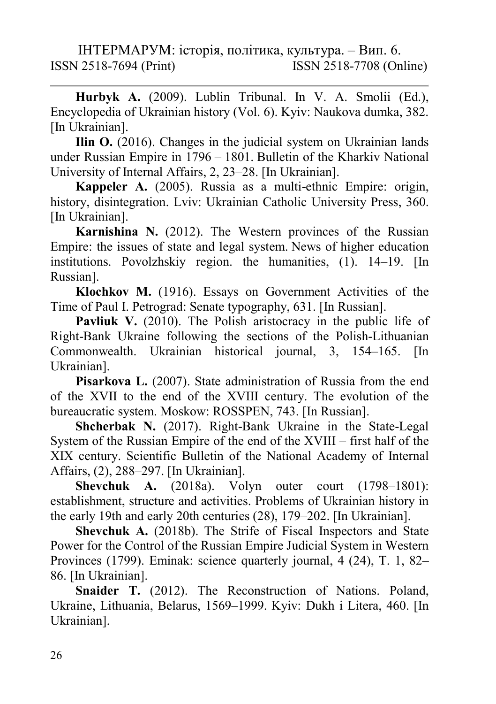Hurbyk A. (2009). Lublin Tribunal. In V. A. Smolii (Ed.), Encyclopedia of Ukrainian history (Vol. 6). Kyiv: Naukova dumka, 382. [In Ukrainian].

Ilin O. (2016). Changes in the judicial system on Ukrainian lands under Russian Empire in 1796 – 1801. Bulletin of the Kharkiv National University of Internal Affairs, 2, 23–28. [In Ukrainian].

Kappeler A. (2005). Russia as a multi-ethnic Empire: origin, history, disintegration. Lviv: Ukrainian Catholic University Press, 360. [In Ukrainian].

Karnishina N. (2012). The Western provinces of the Russian Empire: the issues of state and legal system. News of higher education institutions. Povolzhskiy region. the humanities, (1). 14–19. [In Russian].

Klochkov M. (1916). Essays on Government Activities of the Time of Paul I. Petrograd: Senate typography, 631. [In Russian].

Pavliuk V. (2010). The Polish aristocracy in the public life of Right-Bank Ukraine following the sections of the Polish-Lithuanian Commonwealth. Ukrainian historical journal, 3, 154–165. [In Ukrainian].

Pisarkova L. (2007). State administration of Russia from the end of the XVII to the end of the XVIII century. The evolution of the bureaucratic system. Moskow: ROSSPEN, 743. [In Russian].

Shcherbak N. (2017). Right-Bank Ukraine in the State-Legal System of the Russian Empire of the end of the ХVІІІ – first half of the ХІХ century. Scientific Bulletin of the National Academy of Internal Affairs, (2), 288–297. [In Ukrainian].

Shevchuk A. (2018a). Volyn outer court (1798–1801): establishment, structure and activities. Problems of Ukrainian history in the early 19th and early 20th centuries (28), 179–202. [In Ukrainian].

Shevchuk A. (2018b). The Strife of Fiscal Inspectors and State Power for the Control of the Russian Empire Judicial System in Western Provinces (1799). Eminak: science quarterly journal, 4 (24), T. 1, 82– 86. [In Ukrainian].

Snaider T. (2012). The Reconstruction of Nations. Poland, Ukraine, Lithuania, Belarus, 1569–1999. Kyiv: Dukh i Litera, 460. [In Ukrainian].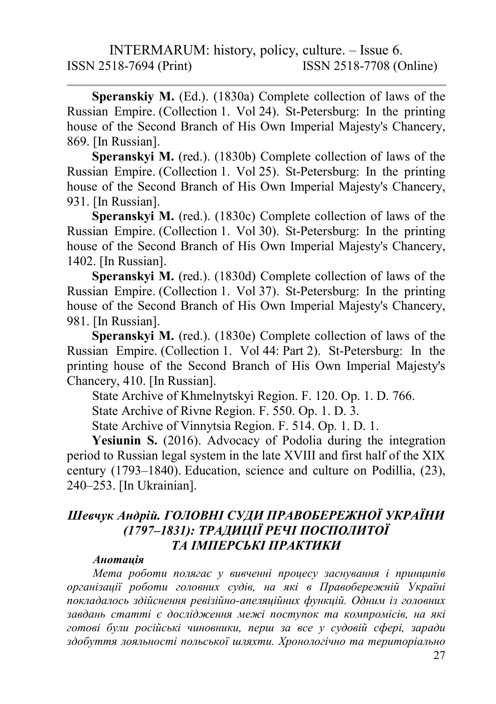Speranskiy M. (Ed.). (1830a) Complete collection of laws of the Russian Empire. (Collection 1. Vol 24). St-Petersburg: In the printing house of the Second Branch of His Own Imperial Majesty's Chancery, 869. [In Russian].

Speranskyi M. (red.). (1830b) Complete collection of laws of the Russian Empire. (Collection 1. Vol 25). St-Petersburg: In the printing house of the Second Branch of His Own Imperial Majesty's Chancery, 931. [In Russian].

Speranskyi M. (red.). (1830c) Complete collection of laws of the Russian Empire. (Collection 1. Vol 30). St-Petersburg: In the printing house of the Second Branch of His Own Imperial Majesty's Chancery, 1402. [In Russian].

Speranskyi M. (red.). (1830d) Complete collection of laws of the Russian Empire. (Collection 1. Vol 37). St-Petersburg: In the printing house of the Second Branch of His Own Imperial Majesty's Chancery, 981. [In Russian].

Speranskyi M. (red.). (1830e) Complete collection of laws of the Russian Empire. (Collection 1. Vol 44: Part 2). St-Petersburg: In the printing house of the Second Branch of His Own Imperial Majesty's Chancery, 410. [In Russian].

State Archive of Khmelnytskyi Region. F. 120. Op. 1. D. 766.

State Archive of Rivne Region. F. 550. Op. 1. D. 3.

State Archive of Vinnytsia Region. F. 514. Op. 1. D. 1.

Yesiunin S. (2016). Advocacy of Podolia during the integration period to Russian legal system in the late XVIII and first half of the XIX century (1793–1840). Education, science and culture on Podillia, (23), 240–253. [In Ukrainian].

### Шевчук Андрій. ГОЛОВНІ СУДИ ПРАВОБЕРЕЖНОЇ УКРАЇНИ (1797–1831): ТРАДИЦІЇ РЕЧІ ПОСПОЛИТОЇ ТА ІМПЕРСЬКІ ПРАКТИКИ

#### Анотація

Мета роботи полягає у вивченні процесу заснування і принципів організації роботи головних судів, на які в Правобережній Україні покладалось здійснення ревізійно-апеляційних функцій. Одним із головних завдань статті є дослідження межі поступок та компромісів, на які готові були російські чиновники, перш за все у судовій сфері, заради здобуття лояльності польської шляхти. Хронологічно та територіально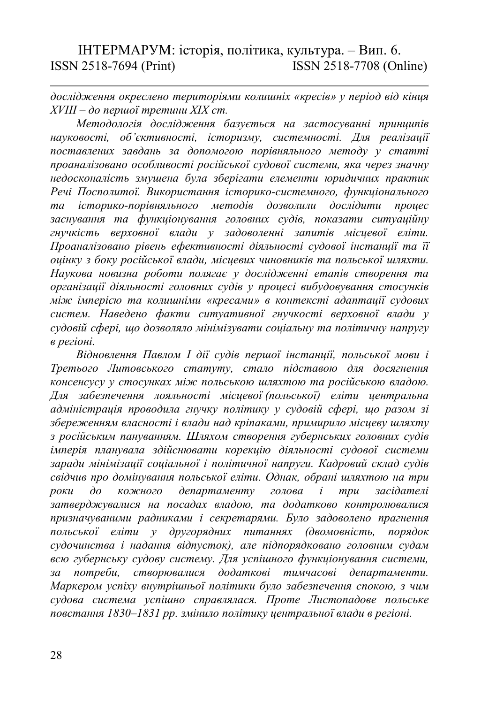дослідження окреслено територіями колишніх «кресів» у період від кінця ХVІІІ – до першої третини ХІХ ст.

Методологія дослідження базується на застосуванні принципів науковості, об'єктивності, історизму, системності. Для реалізації поставлених завдань за допомогою порівняльного методу у статті проаналізовано особливості російської судової системи, яка через значну недосконалість змушена була зберігати елементи юридичних практик Речі Посполитої. Використання історико-системного, функціонального та історико-порівняльного методів дозволили дослідити процес заснування та функціонування головних судів, показати ситуаційну гнучкість верховної влади у задоволенні запитів місцевої еліти. Проаналізовано рівень ефективності діяльності судової інстанції та її оцінку з боку російської влади, місцевих чиновників та польської шляхти. Наукова новизна роботи полягає у дослідженні етапів створення та організації діяльності головних судів у процесі вибудовування стосунків між імперією та колишніми «кресами» в контексті адаптації судових систем. Наведено факти ситуативної гнучкості верховної влади у судовій сфері, що дозволяло мінімізувати соціальну та політичну напругу в регіоні.

Відновлення Павлом І дії судів першої інстанції, польської мови і Третього Литовського статуту, стало підставою для досягнення консенсусу у стосунках між польською шляхтою та російською владою. Для забезпечення лояльності місцевої (польської) еліти центральна адміністрація проводила гнучку політику у судовій сфері, що разом зі збереженням власності і влади над кріпаками, примирило місцеву шляхту з російським пануванням. Шляхом створення губернських головних судів імперія планувала здійснювати корекцію діяльності судової системи заради мінімізації соціальної і політичної напруги. Кадровий склад судів свідчив про домінування польської еліти. Однак, обрані шляхтою на три роки до кожного департаменту голова і три засідателі затверджувалися на посадах владою, та додатково контролювалися призначуваними радниками і секретарями. Було задоволено прагнення польської еліти у другорядних питаннях (двомовність, порядок судочинства і надання відпусток), але підпорядковано головним судам всю губернську судову систему. Для успішного функціонування системи, за потреби, створювалися додаткові тимчасові департаменти. Маркером успіху внутрішньої політики було забезпечення спокою, з чим судова система успішно справлялася. Проте Листопадове польське повстання 1830–1831 рр. змінило політику центральної влади в регіоні.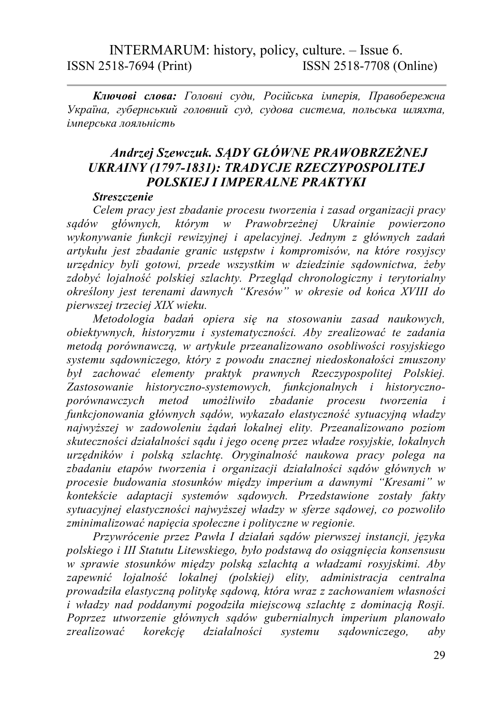Ключові слова: Головні суди, Російська імперія, Правобережна Україна, губернський головний суд, судова система, польська шляхта, імперська лояльність

#### Andrzej Szewczuk. SĄDY GŁÓWNE PRAWOBRZEŻNEJ UKRAINY (1797-1831): TRADYCJE RZECZYPOSPOLITEJ POLSKIEJ I IMPERALNE PRAKTYKI

#### **Streszczenie**

Celem pracy jest zbadanie procesu tworzenia i zasad organizacji pracy sądów głównych, którym w Prawobrzeżnej Ukrainie powierzono wykonywanie funkcji rewizyjnej i apelacyjnej. Jednym z głównych zadań artykułu jest zbadanie granic ustępstw i kompromisów, na które rosyjscy urzędnicy byli gotowi, przede wszystkim w dziedzinie sądownictwa, żeby zdobyć lojalność polskiej szlachty. Przegląd chronologiczny i terytorialny określony jest terenami dawnych "Kresów" w okresie od końca XVIII do pierwszej trzeciej XIX wieku.

Metodologia badań opiera się na stosowaniu zasad naukowych, obiektywnych, historyzmu i systematyczności. Aby zrealizować te zadania metodą porównawczą, w artykule przeanalizowano osobliwości rosyjskiego systemu sądowniczego, który z powodu znacznej niedoskonałości zmuszony był zachować elementy praktyk prawnych Rzeczypospolitej Polskiej. Zastosowanie historyczno-systemowych, funkcjonalnych i historycznoporównawczych metod umożliwiło zbadanie procesu tworzenia i funkcjonowania głównych sądów, wykazało elastyczność sytuacyjną władzy najwyższej w zadowoleniu żądań lokalnej elity. Przeanalizowano poziom skuteczności działalności sądu i jego ocenę przez władze rosyjskie, lokalnych urzędników i polską szlachtę. Oryginalność naukowa pracy polega na zbadaniu etapów tworzenia i organizacji działalności sądów głównych w procesie budowania stosunków między imperium a dawnymi "Kresami" w kontekście adaptacji systemów sądowych. Przedstawione zostały fakty sytuacyjnej elastyczności najwyższej władzy w sferze sądowej, co pozwoliło zminimalizować napięcia społeczne i polityczne w regionie.

Przywrócenie przez Pawła I działań sądów pierwszej instancji, języka polskiego i III Statutu Litewskiego, było podstawą do osiągnięcia konsensusu w sprawie stosunków między polską szlachtą a władzami rosyjskimi. Aby zapewnić lojalność lokalnej (polskiej) elity, administracja centralna prowadziła elastyczną politykę sądową, która wraz z zachowaniem własności i władzy nad poddanymi pogodziła miejscową szlachtę z dominacją Rosji. Poprzez utworzenie głównych sądów gubernialnych imperium planowało zrealizować korekcję działalności systemu sądowniczego, aby